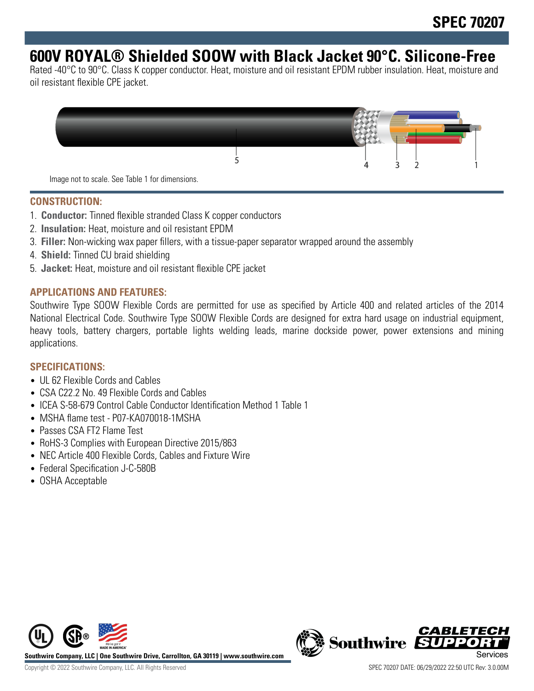# **600V ROYAL® Shielded SOOW with Black Jacket 90°C. Silicone-Free**

Rated -40°C to 90°C. Class K copper conductor. Heat, moisture and oil resistant EPDM rubber insulation. Heat, moisture and oil resistant flexible CPE jacket.



## **CONSTRUCTION:**

- 1. **Conductor:** Tinned flexible stranded Class K copper conductors
- 2. **Insulation:** Heat, moisture and oil resistant EPDM
- 3. **Filler:** Non-wicking wax paper fillers, with a tissue-paper separator wrapped around the assembly
- 4. **Shield:** Tinned CU braid shielding
- 5. **Jacket:** Heat, moisture and oil resistant flexible CPE jacket

### **APPLICATIONS AND FEATURES:**

Southwire Type SOOW Flexible Cords are permitted for use as specified by Article 400 and related articles of the 2014 National Electrical Code. Southwire Type SOOW Flexible Cords are designed for extra hard usage on industrial equipment, heavy tools, battery chargers, portable lights welding leads, marine dockside power, power extensions and mining applications.

#### **SPECIFICATIONS:**

- UL 62 Flexible Cords and Cables
- CSA C22.2 No. 49 Flexible Cords and Cables
- ICEA S-58-679 Control Cable Conductor Identification Method 1 Table 1
- MSHA flame test P07-KA070018-1MSHA
- Passes CSA FT2 Flame Test
- RoHS-3 Complies with European Directive 2015/863
- NEC Article 400 Flexible Cords, Cables and Fixture Wire
- Federal Specification J-C-580B
- OSHA Acceptable



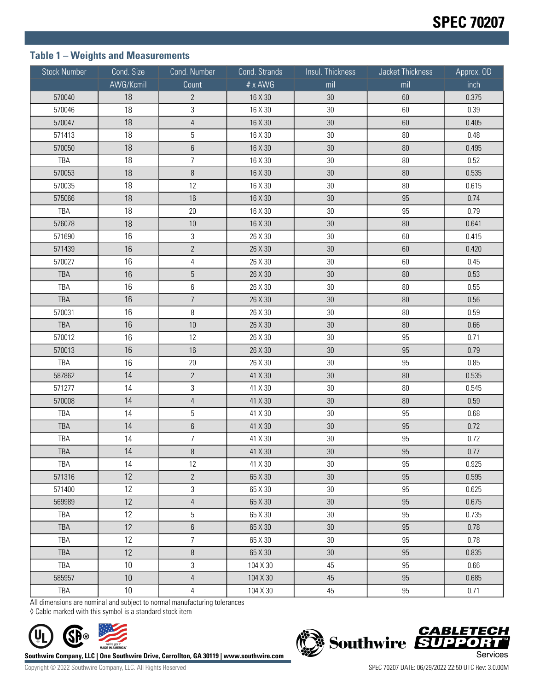# **Table 1 – Weights and Measurements**

| <b>Stock Number</b> | Cond. Size | Cond. Number     | Cond. Strands | Insul. Thickness | Jacket Thickness | Approx. OD |
|---------------------|------------|------------------|---------------|------------------|------------------|------------|
|                     | AWG/Kcmil  | Count            | # x AWG       | mil              | mil              | inch       |
| 570040              | 18         | $2\overline{ }$  | 16 X 30       | $30\,$           | 60               | 0.375      |
| 570046              | 18         | 3                | 16 X 30       | 30               | 60               | 0.39       |
| 570047              | 18         | $\overline{4}$   | 16 X 30       | $30\,$           | 60               | 0.405      |
| 571413              | 18         | $\overline{5}$   | 16 X 30       | $30\,$           | $80\,$           | 0.48       |
| 570050              | 18         | $\,6\,$          | 16 X 30       | $30\,$           | 80               | 0.495      |
| TBA                 | 18         | $\overline{7}$   | 16 X 30       | $30\,$           | $80\,$           | 0.52       |
| 570053              | 18         | $\, 8$           | 16 X 30       | $30\,$           | 80               | 0.535      |
| 570035              | 18         | 12               | 16 X 30       | $30\,$           | $80\,$           | 0.615      |
| 575066              | 18         | $16\,$           | 16 X 30       | $30\,$           | 95               | 0.74       |
| TBA                 | 18         | $20\,$           | 16 X 30       | $30\,$           | 95               | 0.79       |
| 576078              | 18         | $10$             | 16 X 30       | $30\,$           | $80\,$           | 0.641      |
| 571690              | 16         | 3                | 26 X 30       | $30\,$           | 60               | 0.415      |
| 571439              | 16         | $\overline{2}$   | 26 X 30       | $30\,$           | 60               | 0.420      |
| 570027              | 16         | 4                | 26 X 30       | $30\,$           | 60               | 0.45       |
| TBA                 | 16         | $\sqrt{5}$       | 26 X 30       | $30\,$           | 80               | 0.53       |
| TBA                 | 16         | 6                | 26 X 30       | $30\,$           | $80\,$           | 0.55       |
| TBA                 | 16         | $\overline{7}$   | 26 X 30       | $30\,$           | $80\,$           | 0.56       |
| 570031              | 16         | 8                | 26 X 30       | $30\,$           | $80\,$           | 0.59       |
| TBA                 | 16         | $10$             | 26 X 30       | $30\,$           | 80               | 0.66       |
| 570012              | 16         | 12               | 26 X 30       | $30\,$           | 95               | 0.71       |
| 570013              | 16         | 16               | 26 X 30       | $30\,$           | 95               | 0.79       |
| TBA                 | 16         | $20\,$           | 26 X 30       | $30\,$           | 95               | 0.85       |
| 587862              | 14         | $\overline{2}$   | 41 X 30       | $30\,$           | 80               | 0.535      |
| 571277              | 14         | 3                | 41 X 30       | $30\,$           | $80\,$           | 0.545      |
| 570008              | 14         | $\overline{4}$   | 41 X 30       | $30\,$           | 80               | 0.59       |
| TBA                 | 14         | $\overline{5}$   | 41 X 30       | 30               | 95               | 0.68       |
| TBA                 | 14         | $\boldsymbol{6}$ | 41 X 30       | $30\,$           | 95               | 0.72       |
| TBA                 | 14         | $\overline{7}$   | 41 X 30       | $30\,$           | 95               | 0.72       |
| TBA                 | 14         | $\, 8$           | 41 X 30       | $30\,$           | 95               | 0.77       |
| TBA                 | 14         | 12               | 41 X 30       | 30               | 95               | 0.925      |
| 571316              | 12         | $2\overline{ }$  | 65 X 30       | 30               | 95               | 0.595      |
| 571400              | 12         | $\mathfrak{Z}$   | 65 X 30       | $30\,$           | 95               | 0.625      |
| 569989              | 12         | $\overline{4}$   | 65 X 30       | 30               | 95               | 0.675      |
| TBA                 | 12         | 5                | 65 X 30       | $30\,$           | 95               | 0.735      |
| TBA                 | 12         | $\,6\,$          | 65 X 30       | 30               | 95               | 0.78       |
| TBA                 | 12         | $\overline{7}$   | 65 X 30       | 30               | 95               | 0.78       |
| <b>TBA</b>          | 12         | $\, 8$           | 65 X 30       | 30               | 95               | 0.835      |
| TBA                 | 10         | $\mathfrak{Z}$   | 104 X 30      | 45               | 95               | 0.66       |
| 585957              | 10         | $\overline{4}$   | 104 X 30      | 45               | 95               | 0.685      |
| TBA                 | 10         | $\overline{4}$   | 104 X 30      | 45               | 95               | 0.71       |

All dimensions are nominal and subject to normal manufacturing tolerances

◊ Cable marked with this symbol is a standard stock item